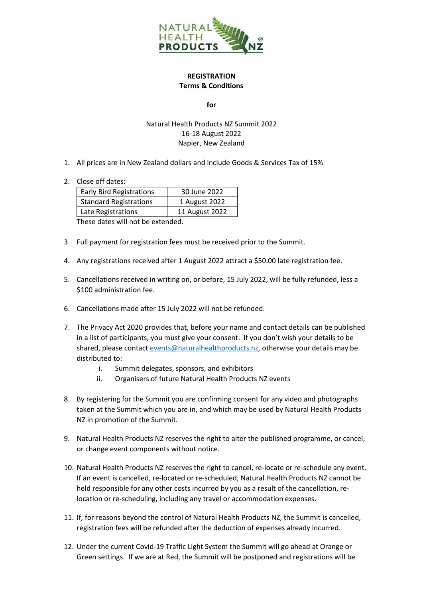

## **REGISTRATION Terms & Conditions**

**for**

## Natural Health Products NZ Summit 2022 16-18 August 2022 Napier, New Zealand

- 1. All prices are in New Zealand dollars and include Goods & Services Tax of 15%
- 2. Close off dates:

| <b>Early Bird Registrations</b> | 30 June 2022   |
|---------------------------------|----------------|
| <b>Standard Registrations</b>   | 1 August 2022  |
| Late Registrations              | 11 August 2022 |
|                                 |                |

These dates will not be extended.

- 3. Full payment for registration fees must be received prior to the Summit.
- 4. Any registrations received after 1 August 2022 attract a \$50.00 late registration fee.
- 5. Cancellations received in writing on, or before, 15 July 2022, will be fully refunded, less a \$100 administration fee.
- 6. Cancellations made after 15 July 2022 will not be refunded.
- 7. The Privacy Act 2020 provides that, before your name and contact details can be published in a list of participants, you must give your consent. If you don't wish your details to be shared, please contact [events@naturalhealthproducts.nz,](mailto:%20events@naturalhealthproducts.nz) otherwise your details may be distributed to:
	- i. Summit delegates, sponsors, and exhibitors
	- ii. Organisers of future Natural Health Products NZ events
- 8. By registering for the Summit you are confirming consent for any video and photographs taken at the Summit which you are in, and which may be used by Natural Health Products NZ in promotion of the Summit.
- 9. Natural Health Products NZ reserves the right to alter the published programme, or cancel, or change event components without notice.
- 10. Natural Health Products NZ reserves the right to cancel, re-locate or re-schedule any event. If an event is cancelled, re-located or re-scheduled, Natural Health Products NZ cannot be held responsible for any other costs incurred by you as a result of the cancellation, relocation or re-scheduling, including any travel or accommodation expenses.
- 11. If, for reasons beyond the control of Natural Health Products NZ, the Summit is cancelled, registration fees will be refunded after the deduction of expenses already incurred.
- 12. Under the current Covid-19 Traffic Light System the Summit will go ahead at Orange or Green settings. If we are at Red, the Summit will be postponed and registrations will be